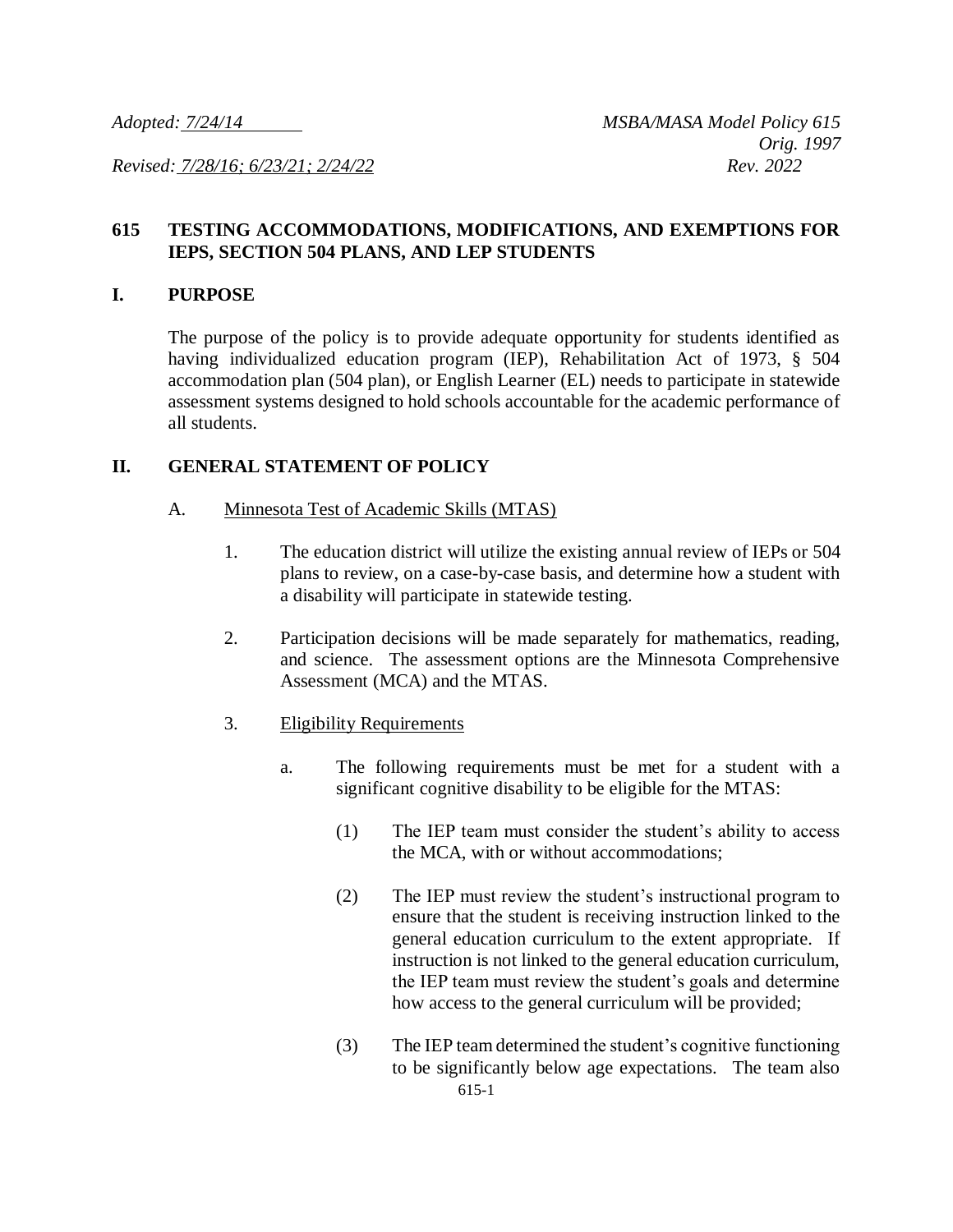*Revised: 7/28/16; 6/23/21; 2/24/22 Rev. 2022*

# **615 TESTING ACCOMMODATIONS, MODIFICATIONS, AND EXEMPTIONS FOR IEPS, SECTION 504 PLANS, AND LEP STUDENTS**

### **I. PURPOSE**

The purpose of the policy is to provide adequate opportunity for students identified as having individualized education program (IEP), Rehabilitation Act of 1973, § 504 accommodation plan (504 plan), or English Learner (EL) needs to participate in statewide assessment systems designed to hold schools accountable for the academic performance of all students.

## **II. GENERAL STATEMENT OF POLICY**

- A. Minnesota Test of Academic Skills (MTAS)
	- 1. The education district will utilize the existing annual review of IEPs or 504 plans to review, on a case-by-case basis, and determine how a student with a disability will participate in statewide testing.
	- 2. Participation decisions will be made separately for mathematics, reading, and science. The assessment options are the Minnesota Comprehensive Assessment (MCA) and the MTAS.
	- 3. Eligibility Requirements
		- a. The following requirements must be met for a student with a significant cognitive disability to be eligible for the MTAS:
			- (1) The IEP team must consider the student's ability to access the MCA, with or without accommodations;
			- (2) The IEP must review the student's instructional program to ensure that the student is receiving instruction linked to the general education curriculum to the extent appropriate. If instruction is not linked to the general education curriculum, the IEP team must review the student's goals and determine how access to the general curriculum will be provided;
			- 615-1 (3) The IEP team determined the student's cognitive functioning to be significantly below age expectations. The team also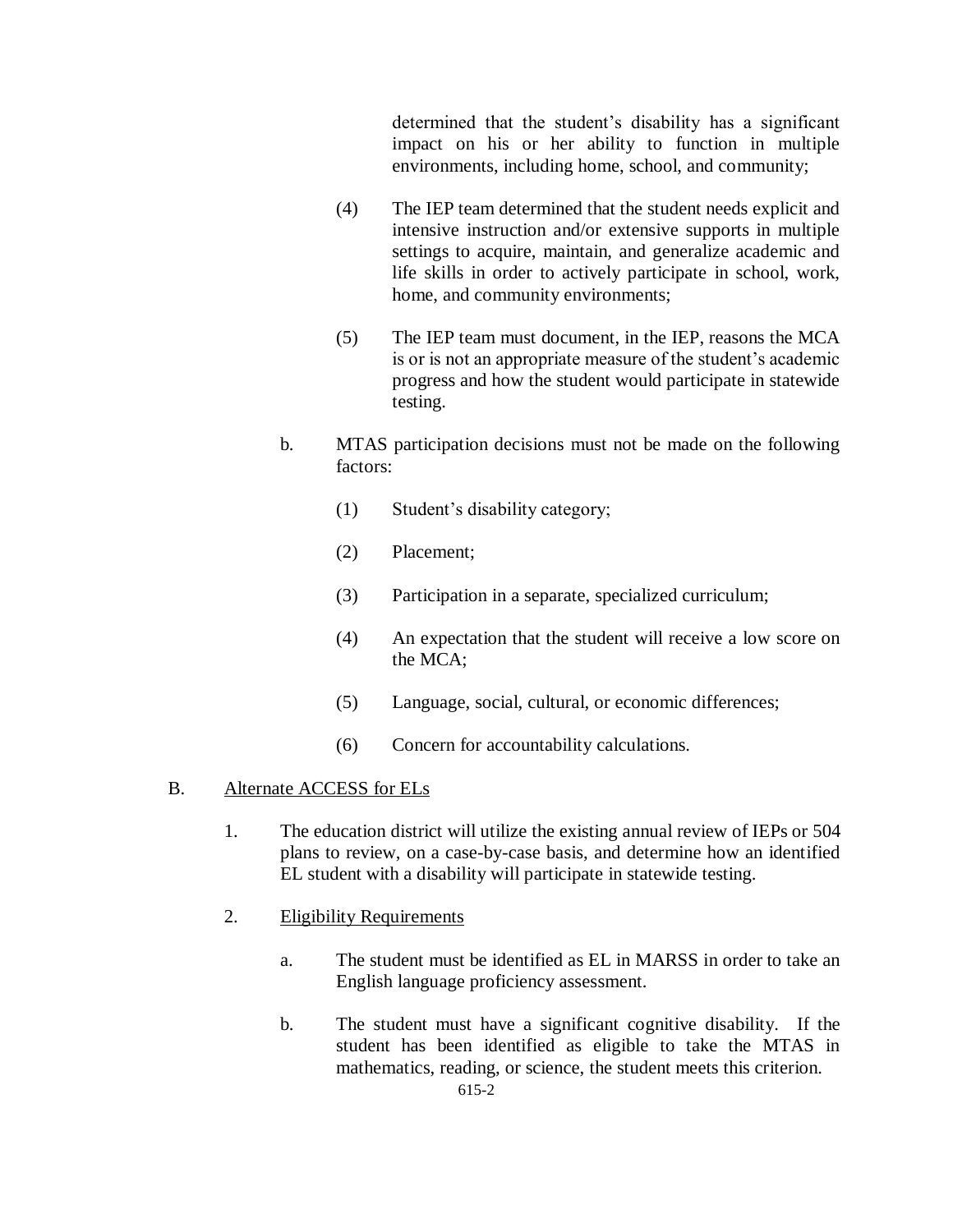determined that the student's disability has a significant impact on his or her ability to function in multiple environments, including home, school, and community;

- (4) The IEP team determined that the student needs explicit and intensive instruction and/or extensive supports in multiple settings to acquire, maintain, and generalize academic and life skills in order to actively participate in school, work, home, and community environments;
- (5) The IEP team must document, in the IEP, reasons the MCA is or is not an appropriate measure of the student's academic progress and how the student would participate in statewide testing.
- b. MTAS participation decisions must not be made on the following factors:
	- (1) Student's disability category;
	- (2) Placement;
	- (3) Participation in a separate, specialized curriculum;
	- (4) An expectation that the student will receive a low score on the MCA;
	- (5) Language, social, cultural, or economic differences;
	- (6) Concern for accountability calculations.

# B. Alternate ACCESS for ELs

- 1. The education district will utilize the existing annual review of IEPs or 504 plans to review, on a case-by-case basis, and determine how an identified EL student with a disability will participate in statewide testing.
- 2. Eligibility Requirements
	- a. The student must be identified as EL in MARSS in order to take an English language proficiency assessment.
	- b. The student must have a significant cognitive disability. If the student has been identified as eligible to take the MTAS in mathematics, reading, or science, the student meets this criterion.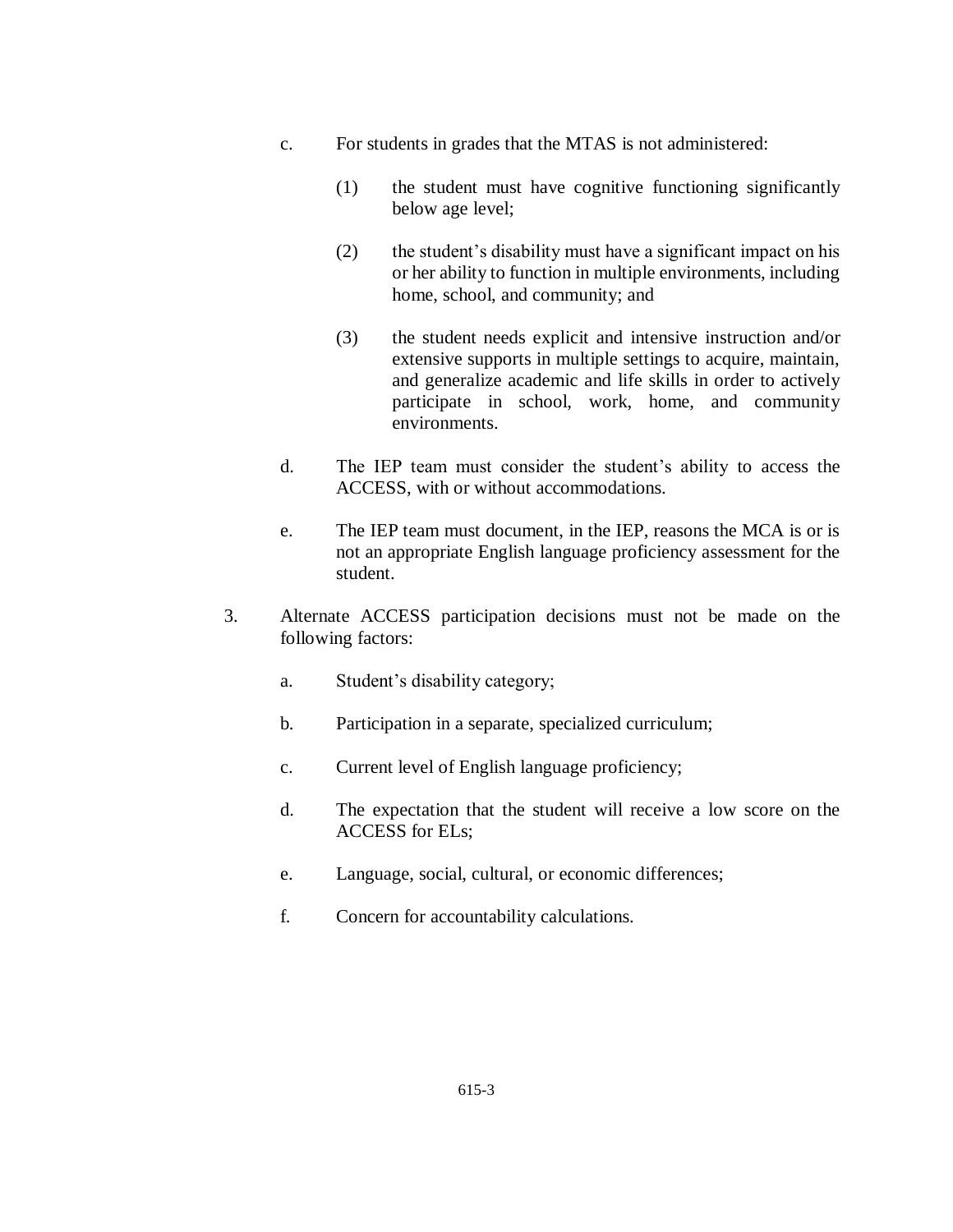- c. For students in grades that the MTAS is not administered:
	- (1) the student must have cognitive functioning significantly below age level;
	- (2) the student's disability must have a significant impact on his or her ability to function in multiple environments, including home, school, and community; and
	- (3) the student needs explicit and intensive instruction and/or extensive supports in multiple settings to acquire, maintain, and generalize academic and life skills in order to actively participate in school, work, home, and community environments.
- d. The IEP team must consider the student's ability to access the ACCESS, with or without accommodations.
- e. The IEP team must document, in the IEP, reasons the MCA is or is not an appropriate English language proficiency assessment for the student.
- 3. Alternate ACCESS participation decisions must not be made on the following factors:
	- a. Student's disability category;
	- b. Participation in a separate, specialized curriculum;
	- c. Current level of English language proficiency;
	- d. The expectation that the student will receive a low score on the ACCESS for ELs;
	- e. Language, social, cultural, or economic differences;
	- f. Concern for accountability calculations.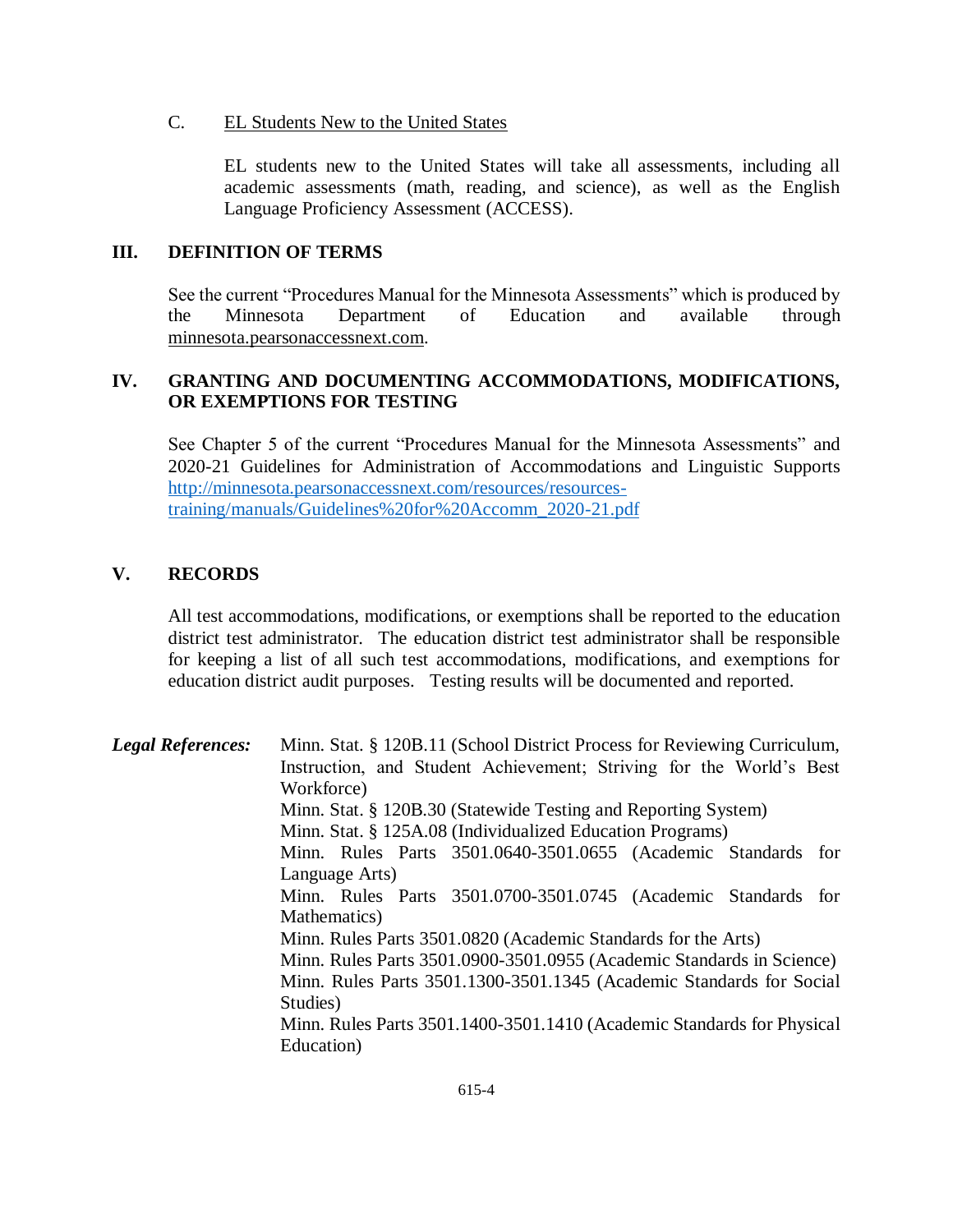#### C. EL Students New to the United States

EL students new to the United States will take all assessments, including all academic assessments (math, reading, and science), as well as the English Language Proficiency Assessment (ACCESS).

### **III. DEFINITION OF TERMS**

See the current "Procedures Manual for the Minnesota Assessments" which is produced by the Minnesota Department of Education and available through minnesota.pearsonaccessnext.com.

# **IV. GRANTING AND DOCUMENTING ACCOMMODATIONS, MODIFICATIONS, OR EXEMPTIONS FOR TESTING**

See Chapter 5 of the current "Procedures Manual for the Minnesota Assessments" and 2020-21 Guidelines for Administration of Accommodations and Linguistic Supports [http://minnesota.pearsonaccessnext.com/resources/resources](http://minnesota.pearsonaccessnext.com/resources/resources-training/manuals/Guidelines%20for%20Accomm_2020-21.pdf)[training/manuals/Guidelines%20for%20Accomm\\_2020-21.pdf](http://minnesota.pearsonaccessnext.com/resources/resources-training/manuals/Guidelines%20for%20Accomm_2020-21.pdf)

## **V. RECORDS**

All test accommodations, modifications, or exemptions shall be reported to the education district test administrator. The education district test administrator shall be responsible for keeping a list of all such test accommodations, modifications, and exemptions for education district audit purposes. Testing results will be documented and reported.

*Legal References:* Minn. Stat. § 120B.11 (School District Process for Reviewing Curriculum, Instruction, and Student Achievement; Striving for the World's Best Workforce) Minn. Stat. § 120B.30 (Statewide Testing and Reporting System) Minn. Stat. § 125A.08 (Individualized Education Programs) Minn. Rules Parts 3501.0640-3501.0655 (Academic Standards for Language Arts) Minn. Rules Parts 3501.0700-3501.0745 (Academic Standards for Mathematics) Minn. Rules Parts 3501.0820 (Academic Standards for the Arts) Minn. Rules Parts 3501.0900-3501.0955 (Academic Standards in Science) Minn. Rules Parts 3501.1300-3501.1345 (Academic Standards for Social Studies) Minn. Rules Parts 3501.1400-3501.1410 (Academic Standards for Physical Education)